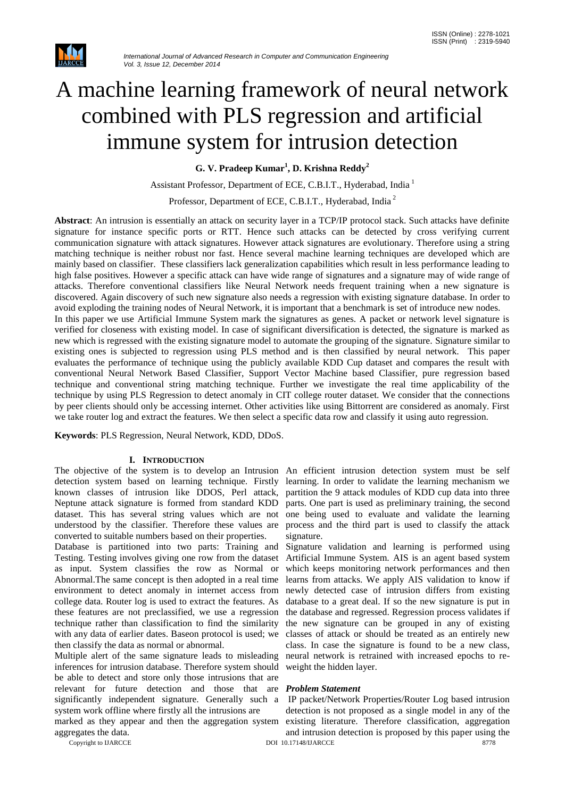

# A machine learning framework of neural network combined with PLS regression and artificial immune system for intrusion detection

**G. V. Pradeep Kumar<sup>1</sup> , D. Krishna Reddy<sup>2</sup>**

Assistant Professor, Department of ECE, C.B.I.T., Hyderabad, India<sup>1</sup>

Professor, Department of ECE, C.B.I.T., Hyderabad, India <sup>2</sup>

**Abstract**: An intrusion is essentially an attack on security layer in a TCP/IP protocol stack. Such attacks have definite signature for instance specific ports or RTT. Hence such attacks can be detected by cross verifying current communication signature with attack signatures. However attack signatures are evolutionary. Therefore using a string matching technique is neither robust nor fast. Hence several machine learning techniques are developed which are mainly based on classifier. These classifiers lack generalization capabilities which result in less performance leading to high false positives. However a specific attack can have wide range of signatures and a signature may of wide range of attacks. Therefore conventional classifiers like Neural Network needs frequent training when a new signature is discovered. Again discovery of such new signature also needs a regression with existing signature database. In order to avoid exploding the training nodes of Neural Network, it is important that a benchmark is set of introduce new nodes. In this paper we use Artificial Immune System mark the signatures as genes. A packet or network level signature is verified for closeness with existing model. In case of significant diversification is detected, the signature is marked as new which is regressed with the existing signature model to automate the grouping of the signature. Signature similar to existing ones is subjected to regression using PLS method and is then classified by neural network. This paper evaluates the performance of technique using the publicly available KDD Cup dataset and compares the result with conventional Neural Network Based Classifier, Support Vector Machine based Classifier, pure regression based technique and conventional string matching technique. Further we investigate the real time applicability of the technique by using PLS Regression to detect anomaly in CIT college router dataset. We consider that the connections by peer clients should only be accessing internet. Other activities like using Bittorrent are considered as anomaly. First we take router log and extract the features. We then select a specific data row and classify it using auto regression.

**Keywords**: PLS Regression, Neural Network, KDD, DDoS.

#### **I. INTRODUCTION**

detection system based on learning technique. Firstly learning. In order to validate the learning mechanism we known classes of intrusion like DDOS, Perl attack, partition the 9 attack modules of KDD cup data into three Neptune attack signature is formed from standard KDD parts. One part is used as preliminary training, the second dataset. This has several string values which are not one being used to evaluate and validate the learning understood by the classifier. Therefore these values are process and the third part is used to classify the attack converted to suitable numbers based on their properties.

Database is partitioned into two parts: Training and Testing. Testing involves giving one row from the dataset as input. System classifies the row as Normal or Abnormal.The same concept is then adopted in a real time environment to detect anomaly in internet access from college data. Router log is used to extract the features. As these features are not preclassified, we use a regression technique rather than classification to find the similarity with any data of earlier dates. Baseon protocol is used; we then classify the data as normal or abnormal.

Multiple alert of the same signature leads to misleading inferences for intrusion database. Therefore system should be able to detect and store only those intrusions that are relevant for future detection and those that are *Problem Statement* significantly independent signature. Generally such a system work offline where firstly all the intrusions are

marked as they appear and then the aggregation system aggregates the data.

The objective of the system is to develop an Intrusion An efficient intrusion detection system must be self signature.

> Signature validation and learning is performed using Artificial Immune System. AIS is an agent based system which keeps monitoring network performances and then learns from attacks. We apply AIS validation to know if newly detected case of intrusion differs from existing database to a great deal. If so the new signature is put in the database and regressed. Regression process validates if the new signature can be grouped in any of existing classes of attack or should be treated as an entirely new class. In case the signature is found to be a new class, neural network is retrained with increased epochs to reweight the hidden layer.

Copyright to IJARCCE and the ISLAM of the ISLAM DOI 10.17148/IJARCCE and the ISLAM of the ISLAM of the ISLAM of the ISLAM of the ISLAM of the ISLAM of the ISLAM of the ISLAM of the ISLAM of the ISLAM of the ISLAM of the IS IP packet/Network Properties/Router Log based intrusion detection is not proposed as a single model in any of the existing literature. Therefore classification, aggregation and intrusion detection is proposed by this paper using the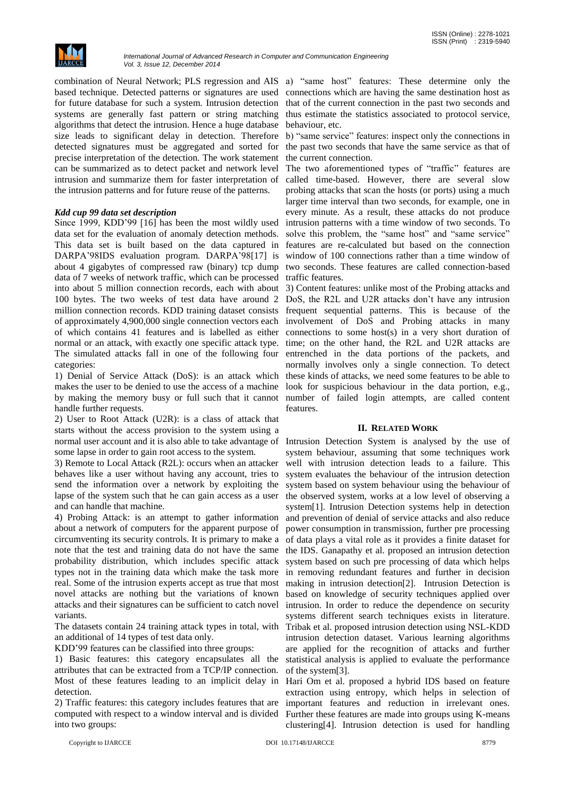

based technique. Detected patterns or signatures are used for future database for such a system. Intrusion detection systems are generally fast pattern or string matching algorithms that detect the intrusion. Hence a huge database size leads to significant delay in detection. Therefore detected signatures must be aggregated and sorted for precise interpretation of the detection. The work statement can be summarized as to detect packet and network level intrusion and summarize them for faster interpretation of the intrusion patterns and for future reuse of the patterns.

# *Kdd cup 99 data set description*

Since 1999, KDD'99 [16] has been the most wildly used data set for the evaluation of anomaly detection methods. This data set is built based on the data captured in DARPA'98IDS evaluation program. DARPA'98[17] is window of 100 connections rather than a time window of about 4 gigabytes of compressed raw (binary) tcp dump two seconds. These features are called connection-based data of 7 weeks of network traffic, which can be processed traffic features. into about 5 million connection records, each with about 3) Content features: unlike most of the Probing attacks and 100 bytes. The two weeks of test data have around 2 DoS, the R2L and U2R attacks don't have any intrusion million connection records. KDD training dataset consists frequent sequential patterns. This is because of the of approximately 4,900,000 single connection vectors each involvement of DoS and Probing attacks in many of which contains 41 features and is labelled as either connections to some host(s) in a very short duration of normal or an attack, with exactly one specific attack type. The simulated attacks fall in one of the following four categories:

1) Denial of Service Attack (DoS): is an attack which these kinds of attacks, we need some features to be able to makes the user to be denied to use the access of a machine by making the memory busy or full such that it cannot number of failed login attempts, are called content handle further requests.

2) User to Root Attack (U2R): is a class of attack that starts without the access provision to the system using a normal user account and it is also able to take advantage of some lapse in order to gain root access to the system.

3) Remote to Local Attack (R2L): occurs when an attacker behaves like a user without having any account, tries to send the information over a network by exploiting the lapse of the system such that he can gain access as a user and can handle that machine.

4) Probing Attack: is an attempt to gather information about a network of computers for the apparent purpose of circumventing its security controls. It is primary to make a note that the test and training data do not have the same probability distribution, which includes specific attack types not in the training data which make the task more real. Some of the intrusion experts accept as true that most novel attacks are nothing but the variations of known attacks and their signatures can be sufficient to catch novel variants.

The datasets contain 24 training attack types in total, with an additional of 14 types of test data only.

KDD'99 features can be classified into three groups:

1) Basic features: this category encapsulates all the attributes that can be extracted from a TCP/IP connection. Most of these features leading to an implicit delay in detection.

2) Traffic features: this category includes features that are computed with respect to a window interval and is divided into two groups:

combination of Neural Network; PLS regression and AIS a) "same host" features: These determine only the connections which are having the same destination host as that of the current connection in the past two seconds and thus estimate the statistics associated to protocol service, behaviour, etc.

> b) "same service" features: inspect only the connections in the past two seconds that have the same service as that of the current connection.

> The two aforementioned types of "traffic" features are called time-based. However, there are several slow probing attacks that scan the hosts (or ports) using a much larger time interval than two seconds, for example, one in every minute. As a result, these attacks do not produce intrusion patterns with a time window of two seconds. To solve this problem, the "same host" and "same service" features are re-calculated but based on the connection

> time; on the other hand, the R2L and U2R attacks are entrenched in the data portions of the packets, and normally involves only a single connection. To detect look for suspicious behaviour in the data portion, e.g., features.

#### **II. RELATED WORK**

Intrusion Detection System is analysed by the use of system behaviour, assuming that some techniques work well with intrusion detection leads to a failure. This system evaluates the behaviour of the intrusion detection system based on system behaviour using the behaviour of the observed system, works at a low level of observing a system[1]. Intrusion Detection systems help in detection and prevention of denial of service attacks and also reduce power consumption in transmission, further pre processing of data plays a vital role as it provides a finite dataset for the IDS. Ganapathy et al. proposed an intrusion detection system based on such pre processing of data which helps in removing redundant features and further in decision making in intrusion detection[2]. Intrusion Detection is based on knowledge of security techniques applied over intrusion. In order to reduce the dependence on security systems different search techniques exists in literature. Tribak et al. proposed intrusion detection using NSL-KDD intrusion detection dataset. Various learning algorithms are applied for the recognition of attacks and further statistical analysis is applied to evaluate the performance of the system[3].

Hari Om et al. proposed a hybrid IDS based on feature extraction using entropy, which helps in selection of important features and reduction in irrelevant ones. Further these features are made into groups using K-means clustering[4]. Intrusion detection is used for handling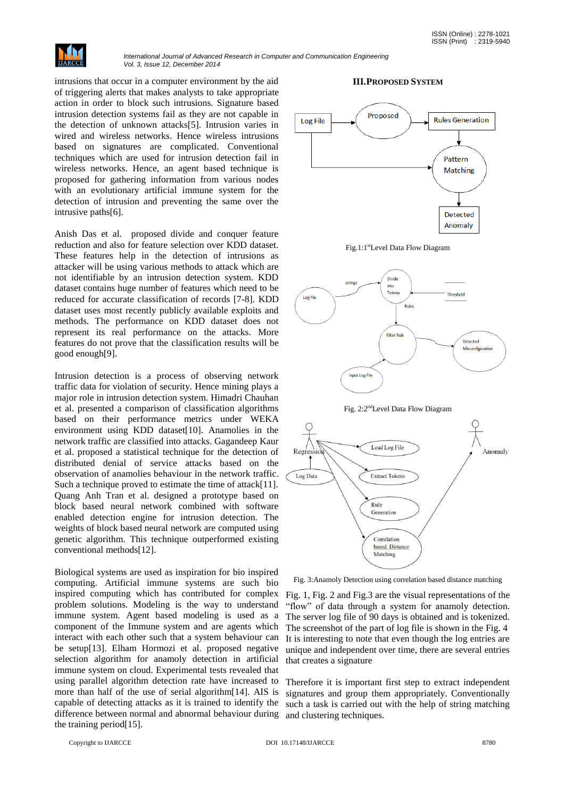

intrusions that occur in a computer environment by the aid of triggering alerts that makes analysts to take appropriate action in order to block such intrusions. Signature based intrusion detection systems fail as they are not capable in the detection of unknown attacks[5]. Intrusion varies in wired and wireless networks. Hence wireless intrusions based on signatures are complicated. Conventional techniques which are used for intrusion detection fail in wireless networks. Hence, an agent based technique is proposed for gathering information from various nodes with an evolutionary artificial immune system for the detection of intrusion and preventing the same over the intrusive paths[6].

Anish Das et al. proposed divide and conquer feature reduction and also for feature selection over KDD dataset. These features help in the detection of intrusions as attacker will be using various methods to attack which are not identifiable by an intrusion detection system. KDD dataset contains huge number of features which need to be reduced for accurate classification of records [7-8]. KDD dataset uses most recently publicly available exploits and methods. The performance on KDD dataset does not represent its real performance on the attacks. More features do not prove that the classification results will be good enough[9].

Intrusion detection is a process of observing network traffic data for violation of security. Hence mining plays a major role in intrusion detection system. Himadri Chauhan et al. presented a comparison of classification algorithms based on their performance metrics under WEKA environment using KDD dataset[10]. Anamolies in the network traffic are classified into attacks. Gagandeep Kaur et al. proposed a statistical technique for the detection of distributed denial of service attacks based on the observation of anamolies behaviour in the network traffic. Such a technique proved to estimate the time of attack[11]. Quang Anh Tran et al. designed a prototype based on block based neural network combined with software enabled detection engine for intrusion detection. The weights of block based neural network are computed using genetic algorithm. This technique outperformed existing conventional methods[12].

Biological systems are used as inspiration for bio inspired computing. Artificial immune systems are such bio inspired computing which has contributed for complex problem solutions. Modeling is the way to understand immune system. Agent based modeling is used as a component of the Immune system and are agents which interact with each other such that a system behaviour can be setup[13]. Elham Hormozi et al. proposed negative selection algorithm for anamoly detection in artificial immune system on cloud. Experimental tests revealed that using parallel algorithm detection rate have increased to more than half of the use of serial algorithm[14]. AIS is capable of detecting attacks as it is trained to identify the difference between normal and abnormal behaviour during the training period[15].

### **III.PROPOSED SYSTEM**











Fig. 3:Anamoly Detection using correlation based distance matching

Fig. 1, Fig. 2 and Fig.3 are the visual representations of the "flow" of data through a system for anamoly detection. The server log file of 90 days is obtained and is tokenized. The screenshot of the part of log file is shown in the Fig. 4 It is interesting to note that even though the log entries are unique and independent over time, there are several entries that creates a signature

Therefore it is important first step to extract independent signatures and group them appropriately. Conventionally such a task is carried out with the help of string matching and clustering techniques.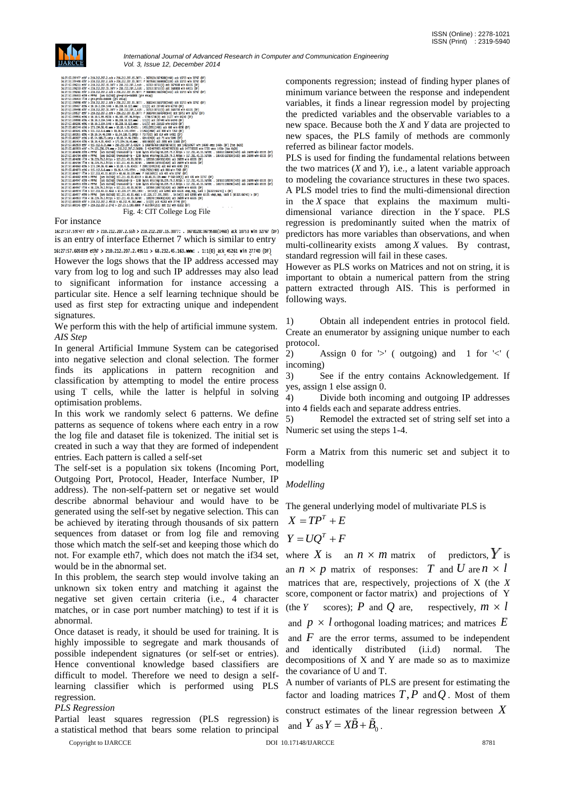| 16:27:57.605145 eth7 > 210.212.207.2.2742 > 217.23.1.100.8800: P 653:904(251) ack 112 win 65332 (DF)<br>Fig. 4: CIT College Log File                                                                                                                                       |                                                                                                                                                                     |
|----------------------------------------------------------------------------------------------------------------------------------------------------------------------------------------------------------------------------------------------------------------------------|---------------------------------------------------------------------------------------------------------------------------------------------------------------------|
| 16:27:57.605039 eth7 > 210.212.207.2.49511 > 68.232.45.163.www: . 1:1(0) ack 45261 win 27740 (DF)                                                                                                                                                                          |                                                                                                                                                                     |
| 16:27:57.604953 if34 < 38.229.79.2.https > 117.211.43.33.36789: . 189270:190690(1420) ack 26899 win 65535 (DF)                                                                                                                                                             |                                                                                                                                                                     |
| 16:27:57.604977 eth9 > PPPoE [ses 0x236b] 117.211.43.33.4661 > 67.228.177.191.1935: . 14:14(0) ack 63901 win 65535 <mop.mop. 1="" sack="" {65321:66741}=""> (DF)</mop.mop.>                                                                                                |                                                                                                                                                                     |
| 16:27:57.604947 if34 < 38.229.79.2.https > 117.211.43.33.36789: . 187850:189270(1420) ack 26899 win 65535 (DF)<br>16:27:57.604974 if34 > 117.211.43.33.4661 > 67.228.177.191.1935: . 14:14(0) ack 63901 win 65535 <mop.nop. 1="" sack="" {65321:66741}=""> (DF)</mop.nop.> |                                                                                                                                                                     |
|                                                                                                                                                                                                                                                                            | 16:27:57.604953 eth9 < PPPoE 「ses 0x236b】truncated-ip - 1280 bytes missing!38.229.79.2.https > 117.211.43.33.36789: . 189270:190690(1420) ack 26899 win 65535 (DF)  |
|                                                                                                                                                                                                                                                                            | 16:27:57.604947 eth9 < PPPoE [ses 0x236b] truncated-io - 1280 bytes missing!38.229.79.2.https > 117.211.43.33.36789: . 187850:189270(1420) ack 26899 win 65535 (DF) |
| 16:27:57.604882 eth9 > PPPoE [ses 0x236b] 117.211.43.33.60119 > 68.68.30.139.www: P 568:569(1) ack 435 win 32767 (DF)                                                                                                                                                      |                                                                                                                                                                     |
| 16:27:57.604877 if34 > 117.211.43.33.60119 > 68.68.30.139.www. P 568:569(1) ack 435 win 32767 (DF)                                                                                                                                                                         |                                                                                                                                                                     |
| 16:27:57.604873 eth6 > 115.112.0.6.www > 10.10.4.143.4294: . 1461:2921(1460) ack 808 win 7263 (DF)                                                                                                                                                                         |                                                                                                                                                                     |
| 16:27:57.604863 eth6 > 173.194.36.40.www > 10.10.4.35.40425: P 2891:3249(358) ack 660 win 6590 (DF)                                                                                                                                                                        |                                                                                                                                                                     |
| 16:27:57.604704 if34 < 38.229.79.2.https > 117.211.43.33.36789; . 186430:187850(1420) ack 26899 win 65535 (DF)                                                                                                                                                             |                                                                                                                                                                     |
| 16:27:57.604698 if34 < 38.229.79.2.https > 117.211.43.33.36789: . 185010:186430(1420) ack 26899 win 65535 (DF)                                                                                                                                                             |                                                                                                                                                                     |
|                                                                                                                                                                                                                                                                            | 16:27:57.604704 eth9 < PPPoE  ses 0x236b  truncated-ip - 1280 bytes missing 38.229.79.2.https > 117.211.43.33.36789: . 186430:187850 1420) ack 26899 win 65535 (DF) |
|                                                                                                                                                                                                                                                                            | 16:27:57.604698 eth9 < PPPoE [ses 0x236b] truncated-ip - 1280 bytes missing 38.229.79.2.https > 117.211.43.33.36789: . 185010:186430(1420) ack 26899 win 65535 (DF) |
| 16:27:57.603959 eth7 < 74.125.236.179.www > 210.212.207.2.56690: 5 4154079923:4154079923(0) ack 1477783505 win 5720 <mss 143d=""> [tos 0x20]</mss>                                                                                                                         |                                                                                                                                                                     |
| 16:27:57.602959 eth7 < 115.112.0.31.www > 210.212.207.2.42624: 5 1068786768:1068786768(0) ack 1482169677 win 14600 <mss 1460=""> (DF) [tos 0x20]</mss>                                                                                                                     |                                                                                                                                                                     |
| 16:27:57.602454 eth6 < 10.10.4.35.40425 > 173.194.36.40.mmm: . 660:660(0) ack 2891 win 11680 (DF)                                                                                                                                                                          |                                                                                                                                                                     |
| 16:27:57.602027 eth6 > 65.54.188.72.smtp > 10.10.34.46.5900: . 614:614(0) ack 71 win 5840 (DF)                                                                                                                                                                             |                                                                                                                                                                     |
| 16:27:57.601955 eth6 < 10.10.34.46.5900 > 65.54.188.72.smtp: F 70:70(0) ack 614 win 64922 (DF)                                                                                                                                                                             |                                                                                                                                                                     |
| 16:27:57.601645 eth6 > 115.112.0.6.mm > 10.10.4.143.4294: . 1:1461(1460) ack 808 win 7263 (DF)                                                                                                                                                                             |                                                                                                                                                                     |
| 16:27:57.601544 eth6 > 173.194.36.40.www > 10.10.4.35.40425: . 1431:2891(1460) ack 660 win 6590 (DF)                                                                                                                                                                       |                                                                                                                                                                     |
| 16:27:57.600206 eth6 < 10.10.2.194.1448 > 88.208.58.122.www: . 1:1(0) ack 210160 win 64240 (DF)                                                                                                                                                                            |                                                                                                                                                                     |
| 16:27:57.599956 eth6 < 10.10.5.99.49236 > 46.165.197.96.https: . 5786:5786(0) ack 11277 win 64240 (DF)<br>16:27:57.599990 eth6 < 10.10.2.194.1448 > 88.208.58.122.www: . 1:1(0) ack 207440 win 64240 (DF)                                                                  |                                                                                                                                                                     |
| 16:27:57.599527 eth7 > 210.212.207.2.ssh > 210.212.207.15.3077: P 3683700:3684340(640) ack 10753 win 32767 (DF)                                                                                                                                                            |                                                                                                                                                                     |
| 16:27:57.599498 eth7 < 210.212.207.15.3077 > 210.212.207.2.ssh: . 10753:10753(0) ack 3683700 win 65535 (DF)                                                                                                                                                                |                                                                                                                                                                     |
| 16:27:57.599457 eth6 < 10.10.2.194.1448 > 88.208.58.122.www: . 1:1(0) ack 207440 win 62780 (DF)                                                                                                                                                                            |                                                                                                                                                                     |
| 16:27:57.598998 eth7 > 210.212.207.2.ssh > 210.212.207.15.3077: . 3682240:3683700(1460) ack 10753 win 32767 (DF)                                                                                                                                                           |                                                                                                                                                                     |
| 16:27:57.598450 if34 < are-proto-0x880B (gre encap)                                                                                                                                                                                                                        |                                                                                                                                                                     |
| 16:27:57.598450 eth9 < PPPoE [ses 0x236b] ore-proto-0x8808 (ore encap)                                                                                                                                                                                                     |                                                                                                                                                                     |
| 16:27:57.598261 eth7 > 210.212.207.2.ssh > 210.212.207.15.3077: P 3680808:3682240(1432) ack 10753 win 32767 (DF)                                                                                                                                                           |                                                                                                                                                                     |
| 16:27:57.598233 eth7 < 210.212.207.15.3077 > 210.212.207.2.ssh: . 10753:10753(0) ack 3680808 win 64315 (DF)                                                                                                                                                                |                                                                                                                                                                     |
| 16:27:57.598211 eth7 < 210.212.207.15.3077 > 210.212.207.2.ssh: . 10753:10753(0) ack 3679588 win 65535 (DF)                                                                                                                                                                |                                                                                                                                                                     |
| 16:27:57.597490 eth7 > 210.212.207.2.ssh > 210.212.207.15.3077; P 3679588:3680808(1220) ack 10753 win 32767 (DF)                                                                                                                                                           |                                                                                                                                                                     |
| 16:27:57.597477 eth7 > 210.212.207.2.ssh > 210.212.207.15.3077: . 3678128:3679588(1460) ack 10753 win 32767 (DF)                                                                                                                                                           |                                                                                                                                                                     |

For instance<br>16:27:57.597477 eth7 > 210.212.207.2.ssh > 210.212.207.15.3077: . 3678128:3679588(1460) ack 10753 win 32767 (DF) is an entry of interface Ethernet 7 which is similar to entry 16:27:57.605039 eth7 > 210.212.207.2.49511 > 68.232.45.163.www: . 1:1(0) ack 45261 win 27740 (DF) However the logs shows that the IP address accessed may vary from log to log and such IP addresses may also lead to significant information for instance accessing a particular site. Hence a self learning technique should be used as first step for extracting unique and independent signatures.

We perform this with the help of artificial immune system. *AIS Step*

In general Artificial Immune System can be categorised into negative selection and clonal selection. The former finds its applications in pattern recognition and classification by attempting to model the entire process using T cells, while the latter is helpful in solving optimisation problems.

In this work we randomly select 6 patterns. We define patterns as sequence of tokens where each entry in a row the log file and dataset file is tokenized. The initial set is created in such a way that they are formed of independent entries. Each pattern is called a self-set

The self-set is a population six tokens (Incoming Port, Outgoing Port, Protocol, Header, Interface Number, IP address). The non-self-pattern set or negative set would describe abnormal behaviour and would have to be generated using the self-set by negative selection. This can be achieved by iterating through thousands of six pattern sequences from dataset or from log file and removing those which match the self-set and keeping those which do not. For example eth7, which does not match the if34 set, would be in the abnormal set.

In this problem, the search step would involve taking an unknown six token entry and matching it against the negative set given certain criteria (i.e., 4 character matches, or in case port number matching) to test if it is abnormal.

Once dataset is ready, it should be used for training. It is highly impossible to segregate and mark thousands of possible independent signatures (or self-set or entries). Hence conventional knowledge based classifiers are difficult to model. Therefore we need to design a selflearning classifier which is performed using PLS regression.

#### *PLS Regression*

Copyright to IJARCCE **DOI** 10.17148/IJARCCE **DOI** 10.17148/IJARCCE 8781 Partial least squares regression (PLS regression) is a statistical method that bears some relation to principal

components regression; instead of finding hyper planes of minimum variance between the response and independent variables, it finds a linear regression model by projecting the predicted variables and the observable variables to a new space. Because both the *X* and *Y* data are projected to new spaces, the PLS family of methods are commonly referred as bilinear factor models.

PLS is used for finding the fundamental relations between the two matrices (*X* and *Y*), i.e., a latent variable approach to modeling the covariance structures in these two spaces. A PLS model tries to find the multi-dimensional direction in the *X* space that explains the maximum multidimensional variance direction in the *Y* space. PLS regression is predominantly suited when the matrix of predictors has more variables than observations, and when multi-collinearity exists among *X* values. By contrast, standard regression will fail in these cases.

However as PLS works on Matrices and not on string, it is important to obtain a numerical pattern from the string pattern extracted through AIS. This is performed in following ways.

1) Obtain all independent entries in protocol field. Create an enumerator by assigning unique number to each protocol.

2) Assign 0 for  $\geq'$  (outgoing) and 1 for  $\leq'$  ( incoming)

3) See if the entry contains Acknowledgement. If yes, assign 1 else assign 0.

4) Divide both incoming and outgoing IP addresses into 4 fields each and separate address entries.

5) Remodel the extracted set of string self set into a Numeric set using the steps 1-4.

Form a Matrix from this numeric set and subject it to modelling

#### *Modelling*

The general underlying model of multivariate PLS is

$$
X = TP^T + E
$$

$$
Y = UQ^T + F
$$

where X is an  $n \times m$  matrix of predictors, Y is an  $n \times p$  matrix of responses: *T* and *U* are  $n \times l$ matrices that are, respectively, projections of X (the *X*  score, component or factor matrix) and projections of Y (the *Y* scores); *P* and *Q* are, respectively,  $m \times l$ and  $p \times l$  orthogonal loading matrices; and matrices  $E$ and  $F$  are the error terms, assumed to be independent

and identically distributed (i.i.d) normal. The decompositions of X and Y are made so as to maximize the covariance of U and T.

A number of variants of PLS are present for estimating the factor and loading matrices  $T, P$  and  $Q$ . Most of them construct estimates of the linear regression between *X* and  $Y$  as  $Y = X\tilde{B} + \tilde{B}_0$ .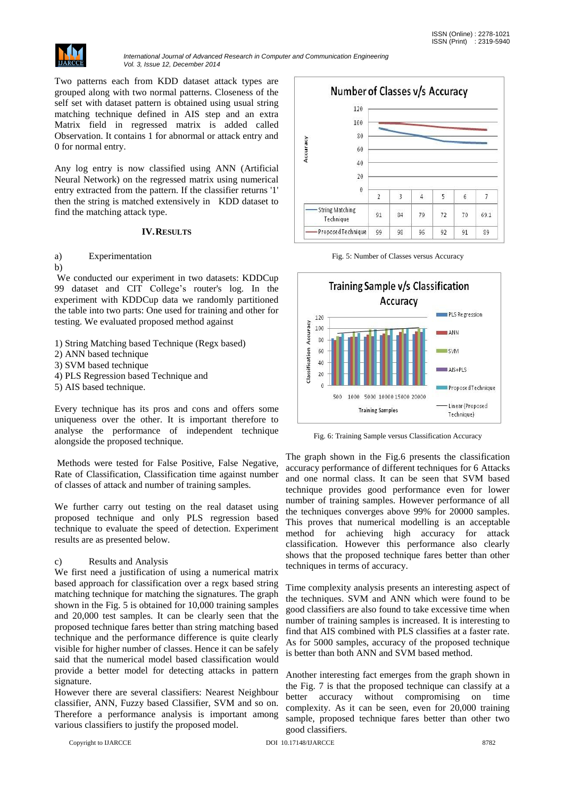

Two patterns each from KDD dataset attack types are grouped along with two normal patterns. Closeness of the self set with dataset pattern is obtained using usual string matching technique defined in AIS step and an extra Matrix field in regressed matrix is added called Observation. It contains 1 for abnormal or attack entry and 0 for normal entry.

Any log entry is now classified using ANN (Artificial Neural Network) on the regressed matrix using numerical entry extracted from the pattern. If the classifier returns '1' then the string is matched extensively in KDD dataset to find the matching attack type.

### **IV.RESULTS**

# a) Experimentation

b)

We conducted our experiment in two datasets: KDDCup 99 dataset and CIT College's router's log. In the experiment with KDDCup data we randomly partitioned the table into two parts: One used for training and other for testing. We evaluated proposed method against

- 1) String Matching based Technique (Regx based)
- 2) ANN based technique
- 3) SVM based technique
- 4) PLS Regression based Technique and
- 5) AIS based technique.

Every technique has its pros and cons and offers some uniqueness over the other. It is important therefore to analyse the performance of independent technique alongside the proposed technique.

Methods were tested for False Positive, False Negative, Rate of Classification, Classification time against number of classes of attack and number of training samples.

We further carry out testing on the real dataset using proposed technique and only PLS regression based technique to evaluate the speed of detection. Experiment results are as presented below.

#### c) Results and Analysis

We first need a justification of using a numerical matrix based approach for classification over a regx based string matching technique for matching the signatures. The graph shown in the Fig. 5 is obtained for 10,000 training samples and 20,000 test samples. It can be clearly seen that the proposed technique fares better than string matching based technique and the performance difference is quite clearly visible for higher number of classes. Hence it can be safely said that the numerical model based classification would provide a better model for detecting attacks in pattern signature.

However there are several classifiers: Nearest Neighbour classifier, ANN, Fuzzy based Classifier, SVM and so on. Therefore a performance analysis is important among various classifiers to justify the proposed model.







Fig. 6: Training Sample versus Classification Accuracy

The graph shown in the Fig.6 presents the classification accuracy performance of different techniques for 6 Attacks and one normal class. It can be seen that SVM based technique provides good performance even for lower number of training samples. However performance of all the techniques converges above 99% for 20000 samples. This proves that numerical modelling is an acceptable method for achieving high accuracy for attack classification. However this performance also clearly shows that the proposed technique fares better than other techniques in terms of accuracy.

Time complexity analysis presents an interesting aspect of the techniques. SVM and ANN which were found to be good classifiers are also found to take excessive time when number of training samples is increased. It is interesting to find that AIS combined with PLS classifies at a faster rate. As for 5000 samples, accuracy of the proposed technique is better than both ANN and SVM based method.

Another interesting fact emerges from the graph shown in the Fig. 7 is that the proposed technique can classify at a better accuracy without compromising on time complexity. As it can be seen, even for 20,000 training sample, proposed technique fares better than other two good classifiers.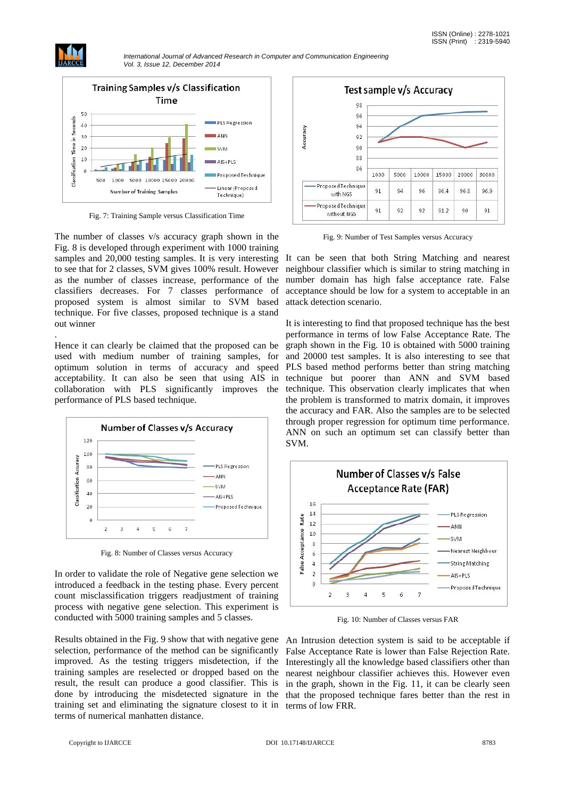

.

*International Journal of Advanced Research in Computer and Communication Engineering Vol. 3, Issue 12, December 2014*



Fig. 7: Training Sample versus Classification Time

The number of classes v/s accuracy graph shown in the Fig. 8 is developed through experiment with 1000 training samples and 20,000 testing samples. It is very interesting to see that for 2 classes, SVM gives 100% result. However as the number of classes increase, performance of the classifiers decreases. For 7 classes performance of proposed system is almost similar to SVM based technique. For five classes, proposed technique is a stand out winner

Hence it can clearly be claimed that the proposed can be used with medium number of training samples, for optimum solution in terms of accuracy and speed acceptability. It can also be seen that using AIS in collaboration with PLS significantly improves the performance of PLS based technique.



Fig. 8: Number of Classes versus Accuracy

In order to validate the role of Negative gene selection we introduced a feedback in the testing phase. Every percent count misclassification triggers readjustment of training process with negative gene selection. This experiment is conducted with 5000 training samples and 5 classes.

Results obtained in the Fig. 9 show that with negative gene selection, performance of the method can be significantly improved. As the testing triggers misdetection, if the Interestingly all the knowledge based classifiers other than training samples are reselected or dropped based on the nearest neighbour classifier achieves this. However even result, the result can produce a good classifier. This is in the graph, shown in the Fig. 11, it can be clearly seen done by introducing the misdetected signature in the that the proposed technique fares better than the rest in training set and eliminating the signature closest to it in terms of low FRR.terms of numerical manhatten distance.



Fig. 9: Number of Test Samples versus Accuracy

It can be seen that both String Matching and nearest neighbour classifier which is similar to string matching in number domain has high false acceptance rate. False acceptance should be low for a system to acceptable in an attack detection scenario.

It is interesting to find that proposed technique has the best performance in terms of low False Acceptance Rate. The graph shown in the Fig. 10 is obtained with 5000 training and 20000 test samples. It is also interesting to see that PLS based method performs better than string matching technique but poorer than ANN and SVM based technique. This observation clearly implicates that when the problem is transformed to matrix domain, it improves the accuracy and FAR. Also the samples are to be selected through proper regression for optimum time performance. ANN on such an optimum set can classify better than SVM.



Fig. 10: Number of Classes versus FAR

An Intrusion detection system is said to be acceptable if False Acceptance Rate is lower than False Rejection Rate.